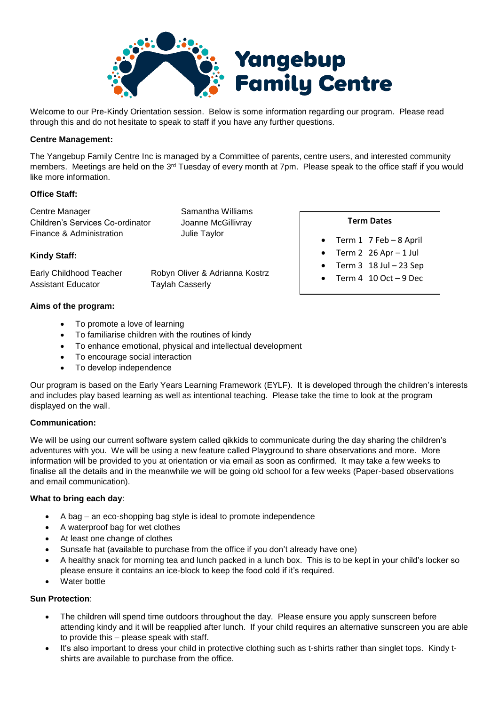

Welcome to our Pre-Kindy Orientation session. Below is some information regarding our program. Please read through this and do not hesitate to speak to staff if you have any further questions.

### **Centre Management:**

The Yangebup Family Centre Inc is managed by a Committee of parents, centre users, and interested community members. Meetings are held on the 3<sup>rd</sup> Tuesday of every month at 7pm. Please speak to the office staff if you would like more information.

### **Office Staff:**

Centre Manager Samantha Williams Children's Services Co-ordinator Joanne McGillivray Finance & Administration **Julie Taylor** 

# **Kindy Staff:**

Early Childhood Teacher Robyn Oliver & Adrianna Kostrz Assistant Educator **Taylah Casserly** 

### **Aims of the program:**

- To promote a love of learning
- To familiarise children with the routines of kindy
- To enhance emotional, physical and intellectual development
- To encourage social interaction
- To develop independence

Our program is based on the Early Years Learning Framework (EYLF). It is developed through the children's interests and includes play based learning as well as intentional teaching. Please take the time to look at the program displayed on the wall.

#### **Communication:**

We will be using our current software system called gikkids to communicate during the day sharing the children's adventures with you. We will be using a new feature called Playground to share observations and more. More information will be provided to you at orientation or via email as soon as confirmed. It may take a few weeks to finalise all the details and in the meanwhile we will be going old school for a few weeks (Paper-based observations and email communication).

# **What to bring each day**:

- A bag an eco-shopping bag style is ideal to promote independence
- A waterproof bag for wet clothes
- At least one change of clothes
- Sunsafe hat (available to purchase from the office if you don't already have one)
- A healthy snack for morning tea and lunch packed in a lunch box. This is to be kept in your child's locker so please ensure it contains an ice-block to keep the food cold if it's required.
- Water bottle

# **Sun Protection**:

- The children will spend time outdoors throughout the day. Please ensure you apply sunscreen before attending kindy and it will be reapplied after lunch. If your child requires an alternative sunscreen you are able to provide this – please speak with staff.
- It's also important to dress your child in protective clothing such as t-shirts rather than singlet tops. Kindy tshirts are available to purchase from the office.

# **Term Dates**

- Term 1 7 Feb 8 April
- Term  $2 \t26$  Apr  $-1$  Jul
- Term  $3 \times 18$  Jul 23 Sep
- Term 4 10 Oct 9 Dec